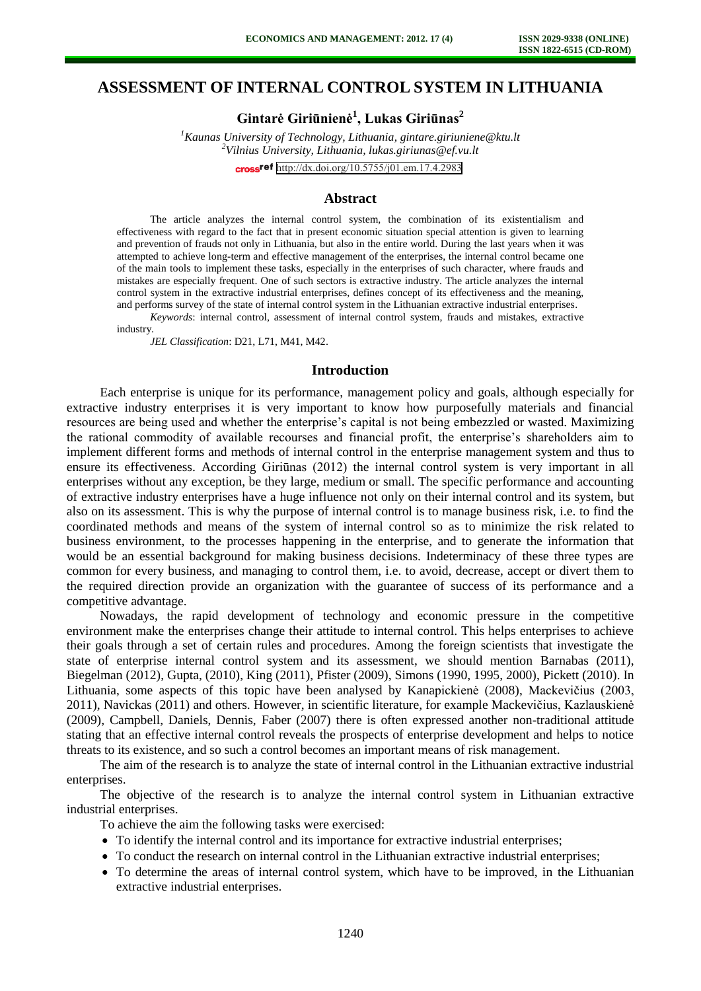# **ASSESSMENT OF INTERNAL CONTROL SYSTEM IN LITHUANIA**

**Gintarė Giriūnienė<sup>1</sup> , Lukas Giriūnas<sup>2</sup>**

*<sup>1</sup>Kaunas University of Technology, Lithuania, gintare.giriuniene@ktu.lt <sup>2</sup>Vilnius University, Lithuania, lukas.giriunas@ef.vu.lt*  cross<sup>ref</sup> <http://dx.doi.org/10.5755/j01.em.17.4.2983>

## **Abstract**

The article analyzes the internal control system, the combination of its existentialism and effectiveness with regard to the fact that in present economic situation special attention is given to learning and prevention of frauds not only in Lithuania, but also in the entire world. During the last years when it was attempted to achieve long-term and effective management of the enterprises, the internal control became one of the main tools to implement these tasks, especially in the enterprises of such character, where frauds and mistakes are especially frequent. One of such sectors is extractive industry. The article analyzes the internal control system in the extractive industrial enterprises, defines concept of its effectiveness and the meaning, and performs survey of the state of internal control system in the Lithuanian extractive industrial enterprises.

*Keywords*: internal control, assessment of internal control system, frauds and mistakes, extractive industry.

*JEL Classification*: D21, L71, M41, M42.

## **Introduction**

Each enterprise is unique for its performance, management policy and goals, although especially for extractive industry enterprises it is very important to know how purposefully materials and financial resources are being used and whether the enterprise's capital is not being embezzled or wasted. Maximizing the rational commodity of available recourses and financial profit, the enterprise's shareholders aim to implement different forms and methods of internal control in the enterprise management system and thus to ensure its effectiveness. According Giriūnas (2012) the internal control system is very important in all enterprises without any exception, be they large, medium or small. The specific performance and accounting of extractive industry enterprises have a huge influence not only on their internal control and its system, but also on its assessment. This is why the purpose of internal control is to manage business risk, i.e. to find the coordinated methods and means of the system of internal control so as to minimize the risk related to business environment, to the processes happening in the enterprise, and to generate the information that would be an essential background for making business decisions. Indeterminacy of these three types are common for every business, and managing to control them, i.e. to avoid, decrease, accept or divert them to the required direction provide an organization with the guarantee of success of its performance and a competitive advantage.

Nowadays, the rapid development of technology and economic pressure in the competitive environment make the enterprises change their attitude to internal control. This helps enterprises to achieve their goals through a set of certain rules and procedures. Among the foreign scientists that investigate the state of enterprise internal control system and its assessment, we should mention Barnabas (2011), Biegelman (2012), Gupta, (2010), King (2011), Pfister (2009), Simons (1990, 1995, 2000), Pickett (2010). In Lithuania, some aspects of this topic have been analysed by Kanapickienė (2008), Mackevičius (2003, 2011), Navickas (2011) and others. However, in scientific literature, for example Mackevičius, Kazlauskienė (2009), Campbell, Daniels, Dennis, Faber (2007) there is often expressed another non-traditional attitude stating that an effective internal control reveals the prospects of enterprise development and helps to notice threats to its existence, and so such a control becomes an important means of risk management.

The aim of the research is to analyze the state of internal control in the Lithuanian extractive industrial enterprises.

The objective of the research is to analyze the internal control system in Lithuanian extractive industrial enterprises.

To achieve the aim the following tasks were exercised:

- To identify the internal control and its importance for extractive industrial enterprises;
- To conduct the research on internal control in the Lithuanian extractive industrial enterprises;
- To determine the areas of internal control system, which have to be improved, in the Lithuanian extractive industrial enterprises.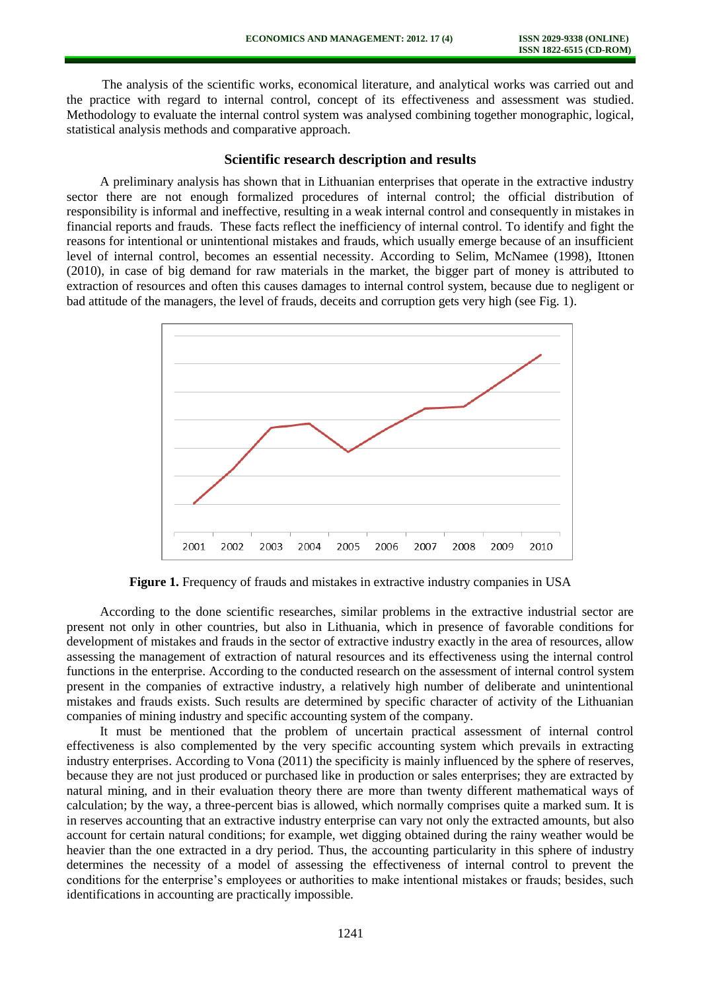The analysis of the scientific works, economical literature, and analytical works was carried out and the practice with regard to internal control, concept of its effectiveness and assessment was studied. Methodology to evaluate the internal control system was analysed combining together monographic, logical, statistical analysis methods and comparative approach.

#### **Scientific research description and results**

A preliminary analysis has shown that in Lithuanian enterprises that operate in the extractive industry sector there are not enough formalized procedures of internal control; the official distribution of responsibility is informal and ineffective, resulting in a weak internal control and consequently in mistakes in financial reports and frauds. These facts reflect the inefficiency of internal control. To identify and fight the reasons for intentional or unintentional mistakes and frauds, which usually emerge because of an insufficient level of internal control, becomes an essential necessity. According to Selim, McNamee (1998), Ittonen (2010), in case of big demand for raw materials in the market, the bigger part of money is attributed to extraction of resources and often this causes damages to internal control system, because due to negligent or bad attitude of the managers, the level of frauds, deceits and corruption gets very high (see Fig. 1).



**Figure 1.** Frequency of frauds and mistakes in extractive industry companies in USA

According to the done scientific researches, similar problems in the extractive industrial sector are present not only in other countries, but also in Lithuania, which in presence of favorable conditions for development of mistakes and frauds in the sector of extractive industry exactly in the area of resources, allow assessing the management of extraction of natural resources and its effectiveness using the internal control functions in the enterprise. According to the conducted research on the assessment of internal control system present in the companies of extractive industry, a relatively high number of deliberate and unintentional mistakes and frauds exists. Such results are determined by specific character of activity of the Lithuanian companies of mining industry and specific accounting system of the company.

It must be mentioned that the problem of uncertain practical assessment of internal control effectiveness is also complemented by the very specific accounting system which prevails in extracting industry enterprises. According to Vona (2011) the specificity is mainly influenced by the sphere of reserves, because they are not just produced or purchased like in production or sales enterprises; they are extracted by natural mining, and in their evaluation theory there are more than twenty different mathematical ways of calculation; by the way, a three-percent bias is allowed, which normally comprises quite a marked sum. It is in reserves accounting that an extractive industry enterprise can vary not only the extracted amounts, but also account for certain natural conditions; for example, wet digging obtained during the rainy weather would be heavier than the one extracted in a dry period. Thus, the accounting particularity in this sphere of industry determines the necessity of a model of assessing the effectiveness of internal control to prevent the conditions for the enterprise's employees or authorities to make intentional mistakes or frauds; besides, such identifications in accounting are practically impossible.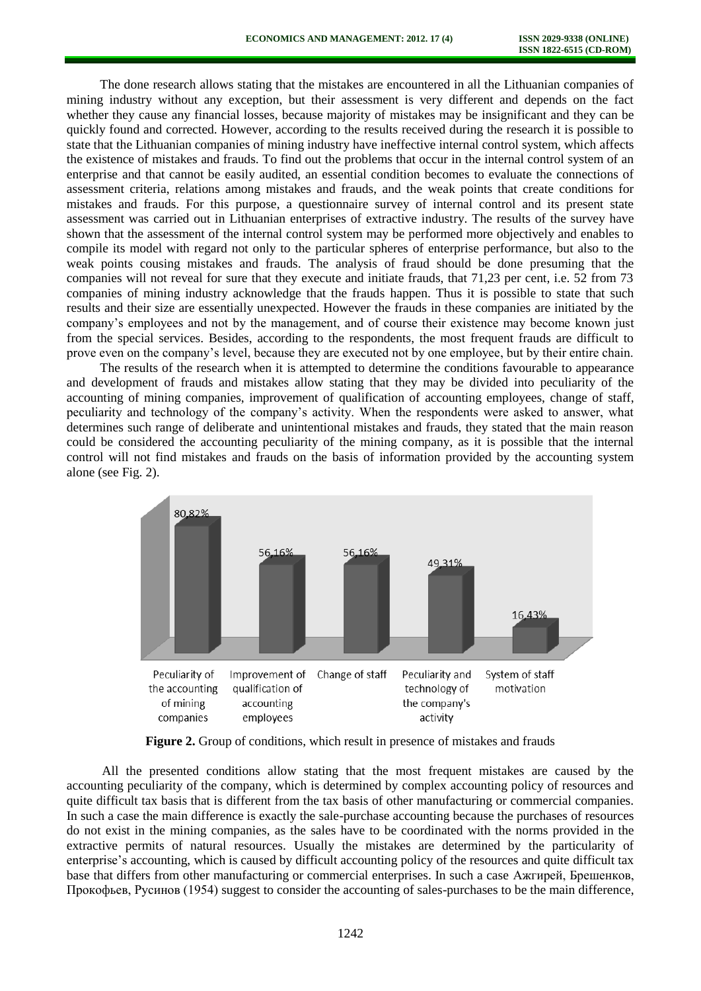The done research allows stating that the mistakes are encountered in all the Lithuanian companies of mining industry without any exception, but their assessment is very different and depends on the fact whether they cause any financial losses, because majority of mistakes may be insignificant and they can be quickly found and corrected. However, according to the results received during the research it is possible to state that the Lithuanian companies of mining industry have ineffective internal control system, which affects the existence of mistakes and frauds. To find out the problems that occur in the internal control system of an enterprise and that cannot be easily audited, an essential condition becomes to evaluate the connections of assessment criteria, relations among mistakes and frauds, and the weak points that create conditions for mistakes and frauds. For this purpose, a questionnaire survey of internal control and its present state assessment was carried out in Lithuanian enterprises of extractive industry. The results of the survey have shown that the assessment of the internal control system may be performed more objectively and enables to compile its model with regard not only to the particular spheres of enterprise performance, but also to the weak points cousing mistakes and frauds. The analysis of fraud should be done presuming that the companies will not reveal for sure that they execute and initiate frauds, that 71,23 per cent, i.e. 52 from 73 companies of mining industry acknowledge that the frauds happen. Thus it is possible to state that such results and their size are essentially unexpected. However the frauds in these companies are initiated by the company's employees and not by the management, and of course their existence may become known just from the special services. Besides, according to the respondents, the most frequent frauds are difficult to prove even on the company's level, because they are executed not by one employee, but by their entire chain.

The results of the research when it is attempted to determine the conditions favourable to appearance and development of frauds and mistakes allow stating that they may be divided into peculiarity of the accounting of mining companies, improvement of qualification of accounting employees, change of staff, peculiarity and technology of the company's activity. When the respondents were asked to answer, what determines such range of deliberate and unintentional mistakes and frauds, they stated that the main reason could be considered the accounting peculiarity of the mining company, as it is possible that the internal control will not find mistakes and frauds on the basis of information provided by the accounting system alone (see Fig. 2).



Figure 2. Group of conditions, which result in presence of mistakes and frauds

All the presented conditions allow stating that the most frequent mistakes are caused by the accounting peculiarity of the company, which is determined by complex accounting policy of resources and quite difficult tax basis that is different from the tax basis of other manufacturing or commercial companies. In such a case the main difference is exactly the sale-purchase accounting because the purchases of resources do not exist in the mining companies, as the sales have to be coordinated with the norms provided in the extractive permits of natural resources. Usually the mistakes are determined by the particularity of enterprise's accounting, which is caused by difficult accounting policy of the resources and quite difficult tax base that differs from other manufacturing or commercial enterprises. In such a case Ажгирей, Брешенков, Прокофьев, Русинов (1954) suggest to consider the accounting of sales-purchases to be the main difference,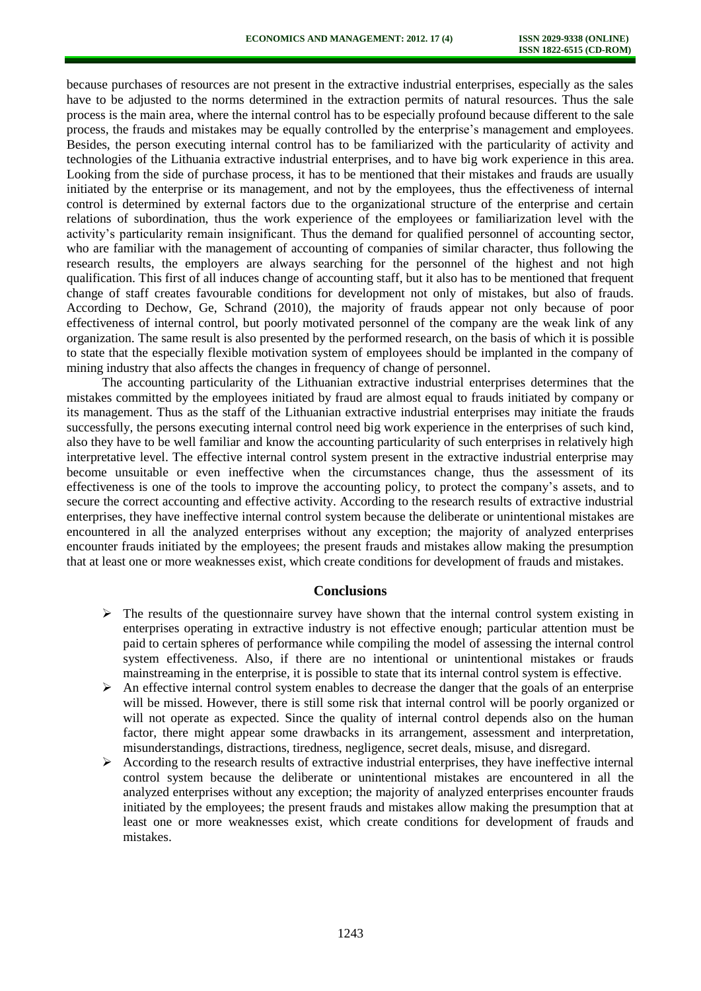because purchases of resources are not present in the extractive industrial enterprises, especially as the sales have to be adjusted to the norms determined in the extraction permits of natural resources. Thus the sale process is the main area, where the internal control has to be especially profound because different to the sale process, the frauds and mistakes may be equally controlled by the enterprise's management and employees. Besides, the person executing internal control has to be familiarized with the particularity of activity and technologies of the Lithuania extractive industrial enterprises, and to have big work experience in this area. Looking from the side of purchase process, it has to be mentioned that their mistakes and frauds are usually initiated by the enterprise or its management, and not by the employees, thus the effectiveness of internal control is determined by external factors due to the organizational structure of the enterprise and certain relations of subordination, thus the work experience of the employees or familiarization level with the activity's particularity remain insignificant. Thus the demand for qualified personnel of accounting sector, who are familiar with the management of accounting of companies of similar character, thus following the research results, the employers are always searching for the personnel of the highest and not high qualification. This first of all induces change of accounting staff, but it also has to be mentioned that frequent change of staff creates favourable conditions for development not only of mistakes, but also of frauds. According to Dechow, Ge, Schrand (2010), the majority of frauds appear not only because of poor effectiveness of internal control, but poorly motivated personnel of the company are the weak link of any organization. The same result is also presented by the performed research, on the basis of which it is possible to state that the especially flexible motivation system of employees should be implanted in the company of mining industry that also affects the changes in frequency of change of personnel.

The accounting particularity of the Lithuanian extractive industrial enterprises determines that the mistakes committed by the employees initiated by fraud are almost equal to frauds initiated by company or its management. Thus as the staff of the Lithuanian extractive industrial enterprises may initiate the frauds successfully, the persons executing internal control need big work experience in the enterprises of such kind, also they have to be well familiar and know the accounting particularity of such enterprises in relatively high interpretative level. The effective internal control system present in the extractive industrial enterprise may become unsuitable or even ineffective when the circumstances change, thus the assessment of its effectiveness is one of the tools to improve the accounting policy, to protect the company's assets, and to secure the correct accounting and effective activity. According to the research results of extractive industrial enterprises, they have ineffective internal control system because the deliberate or unintentional mistakes are encountered in all the analyzed enterprises without any exception; the majority of analyzed enterprises encounter frauds initiated by the employees; the present frauds and mistakes allow making the presumption that at least one or more weaknesses exist, which create conditions for development of frauds and mistakes.

#### **Conclusions**

- $\triangleright$  The results of the questionnaire survey have shown that the internal control system existing in enterprises operating in extractive industry is not effective enough; particular attention must be paid to certain spheres of performance while compiling the model of assessing the internal control system effectiveness. Also, if there are no intentional or unintentional mistakes or frauds mainstreaming in the enterprise, it is possible to state that its internal control system is effective.
- $\triangleright$  An effective internal control system enables to decrease the danger that the goals of an enterprise will be missed. However, there is still some risk that internal control will be poorly organized or will not operate as expected. Since the quality of internal control depends also on the human factor, there might appear some drawbacks in its arrangement, assessment and interpretation, misunderstandings, distractions, tiredness, negligence, secret deals, misuse, and disregard.
- $\triangleright$  According to the research results of extractive industrial enterprises, they have ineffective internal control system because the deliberate or unintentional mistakes are encountered in all the analyzed enterprises without any exception; the majority of analyzed enterprises encounter frauds initiated by the employees; the present frauds and mistakes allow making the presumption that at least one or more weaknesses exist, which create conditions for development of frauds and mistakes.